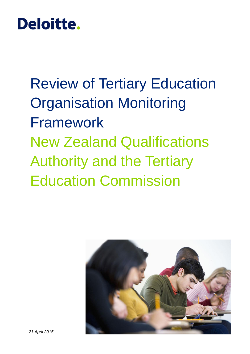# Deloitte.

Review of Tertiary Education Organisation Monitoring Framework New Zealand Qualifications Authority and the Tertiary Education Commission

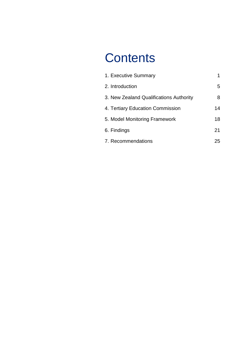# **Contents**

| 1. Executive Summary                    |    |
|-----------------------------------------|----|
| 2. Introduction                         | 5  |
| 3. New Zealand Qualifications Authority | 8  |
| 4. Tertiary Education Commission        | 14 |
| 5. Model Monitoring Framework           | 18 |
| 6. Findings                             | 21 |
| 7. Recommendations                      | 25 |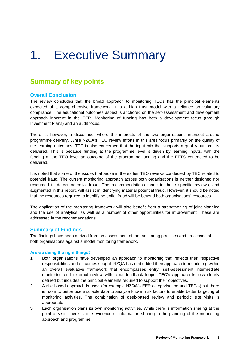# <span id="page-2-0"></span>1. Executive Summary

# **Summary of key points**

#### **Overall Conclusion**

The review concludes that the broad approach to monitoring TEOs has the principal elements expected of a comprehensive framework. It is a high trust model with a reliance on voluntary compliance. The educational outcomes aspect is anchored on the self-assessment and development approach inherent in the EER. Monitoring of funding has both a development focus (through Investment Plans) and an audit focus.

There is, however, a disconnect where the interests of the two organisations intersect around programme delivery. While NZQA's TEO review efforts in this area focus primarily on the quality of the learning outcomes, TEC is also concerned that the input mix that supports a quality outcome is delivered. This is because funding at the programme level is driven by learning inputs, with the funding at the TEO level an outcome of the programme funding and the EFTS contracted to be delivered.

It is noted that some of the issues that arose in the earlier TEO reviews conducted by TEC related to potential fraud. The current monitoring approach across both organisations is neither designed nor resourced to detect potential fraud. The recommendations made in those specific reviews, and augmented in this report, will assist in identifying material potential fraud. However, it should be noted that the resources required to identify potential fraud will be beyond both organisations' resources.

The application of the monitoring framework will also benefit from a strengthening of joint planning and the use of analytics, as well as a number of other opportunities for improvement. These are addressed in the recommendations.

#### **Summary of Findings**

The findings have been derived from an assessment of the monitoring practices and processes of both organisations against a model monitoring framework.

#### **Are we doing the right things?**

- 1. Both organisations have developed an approach to monitoring that reflects their respective responsibilities and outcomes sought. NZQA has embedded their approach to monitoring within an overall evaluative framework that encompasses entry, self-assessment intermediate monitoring and external review with clear feedback loops. TEC's approach is less clearly defined but includes the principal elements required to support their objectives.
- 2. A risk based approach is used (for example NZQA's EER categorisation and TEC's) but there is room to better use available data to analyse known risk factors to enable better targeting of monitoring activities. The combination of desk-based review and periodic site visits is appropriate.
- 3. Each organisation plans its own monitoring activities. While there is information sharing at the point of visits there is little evidence of information sharing in the planning of the monitoring approach and programme.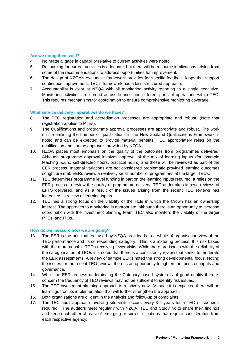#### **Are we doing them well?**

- 4. No material gaps in capability relative to current activities were noted.
- 5. Resourcing for current activities is adequate, but there will be resource implications arising from some of the recommendations to address opportunities for improvement.
- 6. The design of NZQA's evaluative framework provides for specific feedback loops that support continuous improvement. TEC's framework has a less structured approach.
- 7. Accountability is clear at NZQA with all monitoring activity reporting to a single executive. Monitoring activities are spread across finance and different parts of operations within TEC. This requires mechanisms for coordination to ensure comprehensive monitoring coverage.

#### **What service delivery imperatives do we have?**

- 8. The TEO registration and accreditation processes are appropriate and robust. (Note that registration applies to PTEs).
- 9. The Qualifications and programme approval processes are appropriate and robust. The work on streamlining the number of qualifications in the New Zealand Qualifications Framework is noted and can be expected to provide material benefits. TEC appropriately relies on the qualification and course approvals provided by NZQA.
- 10. NZQA places most emphasis on the quality of the outcomes from programmes delivered. Although programme approval involves approval of the mix of learning inputs (for example teaching hours, self-directed hours, practical hours) and these will be reviewed as part of the EER process, material variations are not considered problematic provided learning outcomes sought are met. EERs review a relatively small number of programmes at the larger TEOs.
- 11. TEC determines programme level funding in part on the learning inputs required. It relies on the EER process to review the quality of programme delivery. TEC undertakes its own reviews of EFTS delivered, and as a result of the issues arising from the recent TEO reviews has increased its review of learning inputs.
- 12. TEC has a strong focus on the viability of the TEIs in which the Crown has an ownership interest. The approach to monitoring is appropriate, although there is an opportunity to increase coordination with the investment planning team. TEC also monitors the viability of the larger PTEs, and ITOs.

#### **How do we measure how we are going?**

- 13. The EER is the principal tool used by NZQA as it leads to a whole of organisation view of the TEO performance and its corresponding category. This is a maturing process. It is risk based with the more capable TEOs receiving fewer visits. While there are issues with the reliability of the categorisation of TEOs it is noted that there is a consistency review that seeks to moderate the EER assessments. A review of sample EERs noted the strong developmental focus. Noting the issues for the recent TEO reviews there is an opportunity to tighten the focus on inputs and governance.
- 14. While the EER process underpinning the Category based system is of good quality there is concern the frequency of TEO reviews may not be sufficient to identify risk issues.
- 15. The TEC investment planning approach is relatively new. As such it is expected there will be learnings from its implementation that will further strengthen the approach.
- 16. Both organisations are diligent in the analysis and follow-up of complaints.
- 17. The TEC audit approach involving site visits occurs every 3-4 years for a TEO or sooner if required. The auditors meet regularly with NZQA, TEC and Studylink to share their findings and keep each other abreast of emerging or current situations that require consideration from each respective agency.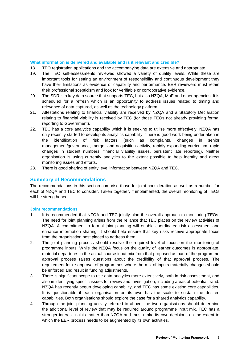#### **What information is delivered and available and is it relevant and credible?**

- 18. TEO registration applications and the accompanying data are extensive and appropriate.
- 19. The TEO self-assessments reviewed showed a variety of quality levels. While these are important tools for setting an environment of responsibility and continuous development they have their limitations as evidence of capability and performance. EER reviewers must retain their professional scepticism and look for verifiable or corroborative evidence.
- 20. The SDR is a key data source that supports TEC, but also NZQA, MoE and other agencies. It is scheduled for a refresh which is an opportunity to address issues related to timing and relevance of data captured, as well as the technology platform.
- 21. Attestations relating to financial viability are received by NZQA and a Statutory Declaration relating to financial viability is received by TEC (for those TEOs not already providing formal reporting to Government).
- 22. TEC has a core analytics capability which it is seeking to utilise more effectively. NZQA has only recently started to develop its analytics capability. There is good work being undertaken in the identification of risk factors (such as complaints, changes in senior management/governance, merger and acquisition activity, rapidly expanding curriculum, rapid changes in student numbers, financial viability issues, persistent late reporting). Neither organisation is using currently analytics to the extent possible to help identify and direct monitoring issues and efforts.
- 23. There is good sharing of entity level information between NZQA and TEC.

### **Summary of Recommendations**

The recommendations in this section comprise those for joint consideration as well as a number for each of NZQA and TEC to consider. Taken together, if implemented, the overall monitoring of TEOs will be strengthened.

#### **Joint recommendations**

- 1. It is recommended that NZQA and TEC jointly plan the overall approach to monitoring TEOs. The need for joint planning arises from the reliance that TEC places on the review activities of NZQA. A commitment to formal joint planning will enable coordinated risk assessment and enhance information sharing. It should help ensure that key risks receive appropriate focus from the organisation best placed to address them.
- 2. The joint planning process should resolve the required level of focus on the monitoring of programme inputs. While the NZQA focus on the quality of learner outcomes is appropriate, material departures in the actual course input mix from that proposed as part of the programme approval process raises questions about the credibility of that approval process. The requirement for re-approval of programmes where the mix of inputs materially changes should be enforced and result in funding adjustments.
- 3. There is significant scope to use data analytics more extensively, both in risk assessment, and also in identifying specific issues for review and investigation, including areas of potential fraud. NZQA has recently begun developing capability, and TEC has some existing core capabilities. It is questionable if each organisation on its own has the scale to sustain the desired capabilities. Both organisations should explore the case for a shared analytics capability.
- 4. Through the joint planning activity referred to above, the two organisations should determine the additional level of review that may be required around programme input mix. TEC has a stronger interest in this matter than NZQA and must make its own decisions on the extent to which the EER process needs to be augmented by its own activities.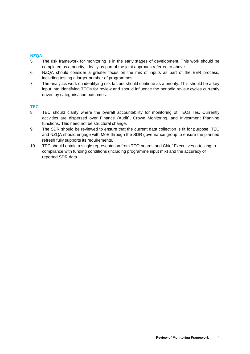#### **NZQA**

- 5. The risk framework for monitoring is in the early stages of development. This work should be completed as a priority, ideally as part of the joint approach referred to above.
- 6. NZQA should consider a greater focus on the mix of inputs as part of the EER process, including testing a larger number of programmes.
- 7. The analytics work on identifying risk factors should continue as a priority. This should be a key input into identifying TEOs for review and should influence the periodic review cycles currently driven by categorisation outcomes.

#### **TEC**

- 8. TEC should clarify where the overall accountability for monitoring of TEOs lies. Currently activities are dispersed over Finance (Audit), Crown Monitoring, and Investment Planning functions. This need not be structural change.
- 9. The SDR should be reviewed to ensure that the current data collection is fit for purpose. TEC and NZQA should engage with MoE through the SDR governance group to ensure the planned refresh fully supports its requirements.
- 10. TEC should obtain a single representation from TEO boards and Chief Executives attesting to compliance with funding conditions (including programme input mix) and the accuracy of reported SDR data.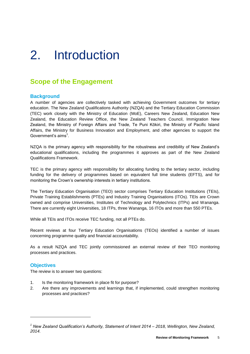# <span id="page-6-0"></span>2. Introduction

# **Scope of the Engagement**

### **Background**

A number of agencies are collectively tasked with achieving Government outcomes for tertiary education. The New Zealand Qualifications Authority (NZQA) and the Tertiary Education Commission (TEC) work closely with the Ministry of Education (MoE), Careers New Zealand, Education New Zealand, the Education Review Office, the New Zealand Teachers Council, Immigration New Zealand, the Ministry of Foreign Affairs and Trade, Te Puni Kōkiri, the Ministry of Pacific Island Affairs, the Ministry for Business Innovation and Employment, and other agencies to support the Government's aims $^1$ .

NZQA is the primary agency with responsibility for the robustness and credibility of New Zealand's educational qualifications, including the programmes it approves as part of the New Zealand Qualifications Framework.

TEC is the primary agency with responsibility for allocating funding to the tertiary sector, including funding for the delivery of programmes based on equivalent full time students (EFTS), and for monitoring the Crown's ownership interests in tertiary institutions.

The Tertiary Education Organisation (TEO) sector comprises Tertiary Education Institutions (TEIs), Private Training Establishments (PTEs) and Industry Training Organisations (ITOs). TEIs are Crown owned and comprise Universities, Institutes of Technology and Polytechnics (ITPs) and Wananga. There are currently eight Universities, 18 ITPs, three Wananga, 16 ITOs and more than 550 PTEs.

While all TEIs and ITOs receive TEC funding, not all PTEs do.

Recent reviews at four Tertiary Education Organisations (TEOs) identified a number of issues concerning programme quality and financial accountability.

As a result NZQA and TEC jointly commissioned an external review of their TEO monitoring processes and practices.

### **Objectives**

The review is to answer two questions:

- 1. Is the monitoring framework in place fit for purpose?
- 2. Are there any improvements and learnings that, if implemented, could strengthen monitoring processes and practices?

*<sup>1</sup> New Zealand Qualification's Authority, Statement of Intent 2014 – 2018, Wellington, New Zealand, 2014.*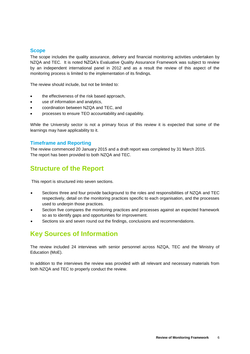### **Scope**

The scope includes the quality assurance, delivery and financial monitoring activities undertaken by NZQA and TEC. It is noted NZQA's Evaluative Quality Assurance Framework was subject to review by an independent international panel in 2012 and as a result the review of this aspect of the monitoring process is limited to the implementation of its findings.

The review should include, but not be limited to:

- the effectiveness of the risk based approach,
- use of information and analytics,
- coordination between NZQA and TEC, and
- processes to ensure TEO accountability and capability.

While the University sector is not a primary focus of this review it is expected that some of the learnings may have applicability to it.

### **Timeframe and Reporting**

The review commenced 20 January 2015 and a draft report was completed by 31 March 2015. The report has been provided to both NZQA and TEC.

# **Structure of the Report**

This report is structured into seven sections.

- Sections three and four provide background to the roles and responsibilities of NZQA and TEC respectively, detail on the monitoring practices specific to each organisation, and the processes used to underpin those practices.
- Section five compares the monitoring practices and processes against an expected framework so as to identify gaps and opportunities for improvement.
- Sections six and seven round out the findings, conclusions and recommendations.

# **Key Sources of Information**

The review included 24 interviews with senior personnel across NZQA, TEC and the Ministry of Education (MoE).

In addition to the interviews the review was provided with all relevant and necessary materials from both NZQA and TEC to properly conduct the review.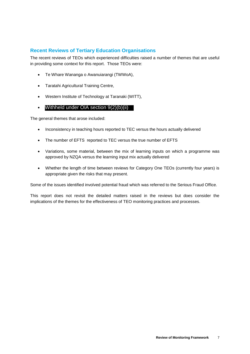# **Recent Reviews of Tertiary Education Organisations**

The recent reviews of TEOs which experienced difficulties raised a number of themes that are useful in providing some context for this report. Those TEOs were:

- Te Whare Wananga o Awanuiarangi (TWWoA),
- Taratahi Agricultural Training Centre,
- Western Institute of Technology at Taranaki (WITT),
- $\bullet$ Withheld under OIA section 9(2)(b)(ii)

The general themes that arose included:

- Inconsistency in teaching hours reported to TEC versus the hours actually delivered
- The number of EFTS reported to TEC versus the true number of EFTS
- Variations, some material, between the mix of learning inputs on which a programme was approved by NZQA versus the learning input mix actually delivered
- Whether the length of time between reviews for Category One TEOs (currently four years) is appropriate given the risks that may present.

Some of the issues identified involved potential fraud which was referred to the Serious Fraud Office.

This report does not revisit the detailed matters raised in the reviews but does consider the implications of the themes for the effectiveness of TEO monitoring practices and processes.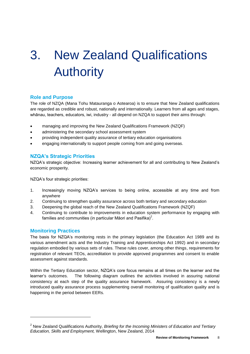# <span id="page-9-0"></span>3. New Zealand Qualifications Authority

## **Role and Purpose**

The role of NZQA (Mana Tohu Matauranga o Aotearoa) is to ensure that New Zealand qualifications are regarded as credible and robust, nationally and internationally. Learners from all ages and stages, whānau, teachers, educators, iwi, industry - all depend on NZQA to support their aims through:

- managing and improving the New Zealand Qualifications Framework (NZQF)
- administering the secondary school assessment system
- providing independent quality assurance of tertiary education organisations
- engaging internationally to support people coming from and going overseas.

### **NZQA's Strategic Priorities**

NZQA's strategic objective: Increasing learner achievement for all and contributing to New Zealand's economic prosperity.

NZQA's four strategic priorities:

- 1. Increasingly moving NZQA's services to being online, accessible at any time and from anywhere
- 2. Continuing to strengthen quality assurance across both tertiary and secondary education
- 3. Deepening the global reach of the New Zealand Qualifications Framework (NZQF)
- 4. Continuing to contribute to improvements in education system performance by engaging with families and communities (in particular Māori and Pasifika)<sup>2</sup>.

### **Monitoring Practices**

l

The basis for NZQA's monitoring rests in the primary legislation (the Education Act 1989 and its various amendment acts and the Industry Training and Apprenticeships Act 1992) and in secondary regulation embodied by various sets of rules. These rules cover, among other things, requirements for registration of relevant TEOs, accreditation to provide approved programmes and consent to enable assessment against standards.

Within the Tertiary Education sector, NZQA's core focus remains at all times on the learner and the learner's outcomes. The following diagram outlines the activities involved in assuring national consistency at each step of the quality assurance framework. Assuring consistency is a newly introduced quality assurance process supplementing overall monitoring of qualification quality and is happening in the period between EERs.

<sup>2</sup> New Zealand Qualifications Authority, *Briefing for the Incoming Ministers of Education and Tertiary Education, Skills and Employment,* Wellington, New Zealand, 2014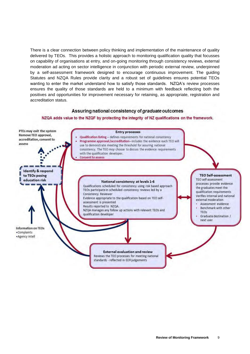There is a clear connection between policy thinking and implementation of the maintenance of quality delivered by TEOs. This provides a holistic approach to monitoring qualification quality that focusses on capability of organisations at entry, and on-going monitoring through consistency reviews, external moderation ad acting on sector intelligence in conjunction with periodic external review, underpinned by a self-assessment framework designed to encourage continuous improvement. The guiding Statutes and NZQA Rules provide clarity and a robust set of guidelines ensures potential TEOs wanting to enter the market understand how to satisfy those standards. NZQA's review processes ensures the quality of those standards are held to a minimum with feedback reflecting both the positives and opportunities for improvement necessary for retaining, as appropriate, registration and accreditation status.

#### Assuring national consistency of graduate outcomes

#### NZQA adds value to the NZQF by protecting the integrity of NZ qualifications on the framework.

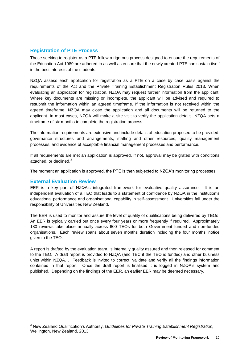## **Registration of PTE Process**

Those seeking to register as a PTE follow a rigorous process designed to ensure the requirements of the Education Act 1989 are adhered to as well as ensure that the newly created PTE can sustain itself in the best interests of the students.

NZQA assess each application for registration as a PTE on a case by case basis against the requirements of the Act and the Private Training Establishment Registration Rules 2013. When evaluating an application for registration, NZQA may request further information from the applicant. Where key documents are missing or incomplete, the applicant will be advised and required to resubmit the information within an agreed timeframe. If the information is not received within the agreed timeframe, NZQA may close the application and all documents will be returned to the applicant. In most cases, NZQA will make a site visit to verify the application details. NZQA sets a timeframe of six months to complete the registration process.

The information requirements are extensive and include details of education proposed to be provided, governance structures and arrangements, staffing and other resources, quality management processes, and evidence of acceptable financial management processes and performance.

If all requirements are met an application is approved. If not, approval may be grated with conditions attached, or declined.<sup>3</sup>

The moment an application is approved, the PTE is then subjected to NZQA's monitoring processes.

### **External Evaluation Review**

l

EER is a key part of NZQA's integrated framework for evaluative quality assurance. It is an independent evaluation of a TEO that leads to a statement of confidence by NZQA in the institution's educational performance and organisational capability in self-assessment. Universities fall under the responsibility of Universities New Zealand.

The EER is used to monitor and assure the level of quality of qualifications being delivered by TEOs. An EER is typically carried out once every four years or more frequently if required. Approximately 180 reviews take place annually across 600 TEOs for both Government funded and non-funded organisations. Each review spans about seven months duration including the four months' notice given to the TEO.

A report is drafted by the evaluation team, is internally quality assured and then released for comment to the TEO. A draft report is provided to NZQA (and TEC if the TEO is funded) and other business units within NZQA. . Feedback is invited to correct, validate and verify all the findings information contained in that report. Once the draft report is finalised it is logged in NZQA's system and published. Depending on the findings of the EER, an earlier EER may be deemed necessary.

<sup>3</sup> New Zealand Qualification's Authority, *Guidelines for Private Training Establishment Registration,*  Wellington, New Zealand, 2013.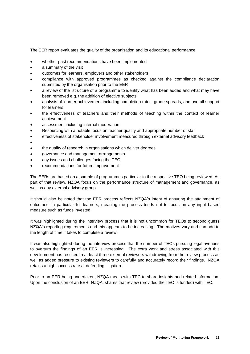The EER report evaluates the quality of the organisation and its educational performance.

- whether past recommendations have been implemented
- a summary of the visit
- outcomes for learners, employers and other stakeholders
- compliance with approved programmes as checked against the compliance declaration submitted by the organisation prior to the EER
- a review of the structure of a programme to identify what has been added and what may have been removed e.g. the addition of elective subjects
- analysis of learner achievement including completion rates, grade spreads, and overall support for learners
- the effectiveness of teachers and their methods of teaching within the context of learner achievement
- assessment including internal moderation
- Resourcing with a notable focus on teacher quality and appropriate number of staff
- effectiveness of stakeholder involvement measured through external advisory feedback
- $\bullet$
- the quality of research in organisations which deliver degrees
- governance and management arrangements
- any issues and challenges facing the TEO,
- recommendations for future improvement

The EERs are based on a sample of programmes particular to the respective TEO being reviewed. As part of that review, NZQA focus on the performance structure of management and governance, as well as any external advisory group.

It should also be noted that the EER process reflects NZQA's intent of ensuring the attainment of outcomes, in particular for learners, meaning the process tends not to focus on any input based measure such as funds invested.

It was highlighted during the interview process that it is not uncommon for TEOs to second guess NZQA's reporting requirements and this appears to be increasing. The motives vary and can add to the length of time it takes to complete a review.

It was also highlighted during the interview process that the number of TEOs pursuing legal avenues to overturn the findings of an EER is increasing. The extra work and stress associated with this development has resulted in at least three external reviewers withdrawing from the review process as well as added pressure to existing reviewers to carefully and accurately record their findings. NZQA retains a high success rate at defending litigation.

Prior to an EER being undertaken, NZQA meets with TEC to share insights and related information. Upon the conclusion of an EER, NZQA, shares that review (provided the TEO is funded) with TEC.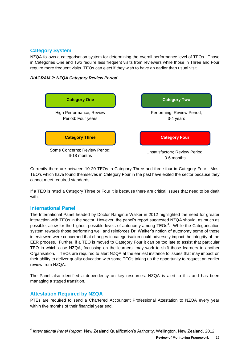## **Category System**

NZQA follows a categorisation system for determining the overall performance level of TEOs. Those in Categories One and Two require less frequent visits from reviewers while those in Three and Four require more frequent visits. TEOs can elect if they wish to have an earlier than usual visit.





Currently there are between 10-20 TEOs in Category Three and three-four in Category Four. Most TEO's which have found themselves in Category Four in the past have exited the sector because they cannot meet required standards.

If a TEO is rated a Category Three or Four it is because there are critical issues that need to be dealt with.

## **International Panel**

The International Panel headed by Doctor Ranginui Walker in 2012 highlighted the need for greater interaction with TEOs in the sector. However, the panel's report suggested NZQA should, as much as possible, allow for the highest possible levels of autonomy among  $TEOs<sup>4</sup>$ . While the Categorisation system rewards those performing well and reinforces Dr. Walker's notion of autonomy some of those interviewed were concerned that changes in categorisation could adversely impact the integrity of the EER process. Further, if a TEO is moved to Category Four it can be too late to assist that particular TEO in which case NZQA, focussing on the learners, may work to shift those learners to another Organisation. TEOs are required to alert NZQA at the earliest instance to issues that may impact on their ability to deliver quality education with some TEOs taking up the opportunity to request an earlier review from NZQA.

The Panel also identified a dependency on key resources. NZQA is alert to this and has been managing a staged transition.

# **Attestation Required by NZQA**

l

PTEs are required to send a Chartered Accountant Professional Attestation to NZQA every year within five months of their financial year end.

<sup>4</sup> *International Panel Report,* New Zealand Qualification's Authority, Wellington, New Zealand, 2012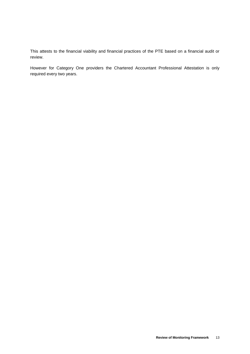This attests to the financial viability and financial practices of the PTE based on a financial audit or review.

However for Category One providers the Chartered Accountant Professional Attestation is only required every two years.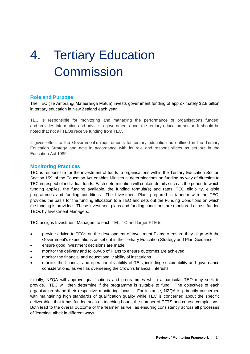# <span id="page-15-0"></span>4. Tertiary Education **Commission**

### **Role and Purpose**

The TEC (Te Amorangi Mātauranga Matua) invests government funding of approximately \$2.8 billion in tertiary education in New Zealand each year.

TEC is responsible for monitoring and managing the performance of organisations funded, and provides information and advice to government about the tertiary education sector. It should be noted that not all TEOs receive funding from TEC.

It gives effect to the Government's requirements for tertiary education as outlined in the Tertiary Education Strategy and acts in accordance with its role and responsibilities as set out in the Education Act 1989.

#### **Monitoring Practices**

TEC is responsible for the investment of funds to organisations within the Tertiary Education Sector. Section 159l of the Education Act enables Ministerial determinations on funding by way of direction to TEC in respect of individual funds. Each determination will contain details such as the period to which funding applies, the funding available, the funding formula(e) and rates, TEO eligibility, eligible programmes and funding conditions. The Investment Plan, prepared in tandem with the TEO, provides the basis for the funding allocation to a TEO and sets out the Funding Conditions on which the funding is provided. These investment plans and funding conditions are monitored across funded TEOs by Investment Managers.

TEC assigns Investment Managers to each TEI, ITO and larger PTE to:

- provide advice to TEOs on the development of Investment Plans to ensure they align with the Government's expectations as set out in the Tertiary Education Strategy and Plan Guidance
- ensure good investment decisions are made
- monitor the delivery and follow-up of Plans to ensure outcomes are achieved
- monitor the financial and educational viability of institutions
- monitor the financial and operational viability of TEIs, including sustainability and governance considerations, as well as overseeing the Crown's financial interests

Initially, NZQA will approve qualifications and programmes which a particular TEO may seek to provide. TEC will then determine if the programme is suitable to fund. The objectives of each organisation shape their respective monitoring focus. For instance, NZQA is primarily concerned with maintaining high standards of qualification quality while TEC is concerned about the specific deliverables that it has funded such as teaching hours, the number of EFTS and course completions. Both lead to the overall outcome of the 'learner' as well as ensuring consistency across all processes of 'learning' albeit in different ways.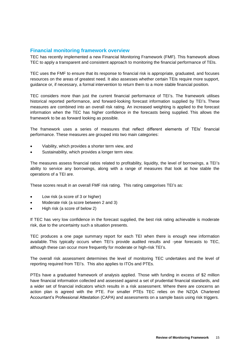### **Financial monitoring framework overview**

TEC has recently implemented a new Financial Monitoring Framework (FMF). This framework allows TEC to apply a transparent and consistent approach to monitoring the financial performance of TEIs.

TEC uses the FMF to ensure that its response to financial risk is appropriate, graduated, and focuses resources on the areas of greatest need. It also assesses whether certain TEIs require more support, guidance or, if necessary, a formal intervention to return them to a more stable financial position.

TEC considers more than just the current financial performance of TEI's. The framework utilises historical reported performance, and forward-looking forecast information supplied by TEI's. These measures are combined into an overall risk rating. An increased weighting is applied to the forecast information when the TEC has higher confidence in the forecasts being supplied. This allows the framework to be as forward looking as possible.

The framework uses a series of measures that reflect different elements of TEIs' financial performance. These measures are grouped into two main categories:

- Viability, which provides a shorter term view, and
- Sustainability, which provides a longer term view.

The measures assess financial ratios related to profitability, liquidity, the level of borrowings, a TEI's ability to service any borrowings, along with a range of measures that look at how stable the operations of a TEI are.

These scores result in an overall FMF risk rating. This rating categorises TEI's as:

- Low risk (a score of 3 or higher)
- Moderate risk (a score between 2 and 3)
- High risk (a score of below 2)

If TEC has very low confidence in the forecast supplied, the best risk rating achievable is moderate risk, due to the uncertainty such a situation presents.

TEC produces a one page summary report for each TEI when there is enough new information available. This typically occurs when TEI's provide audited results and -year forecasts to TEC, although these can occur more frequently for moderate or high-risk TEI's.

The overall risk assessment determines the level of monitoring TEC undertakes and the level of reporting required from TEI's. This also applies to ITOs and PTEs.

PTEs have a graduated framework of analysis applied. Those with funding in excess of \$2 million have financial information collected and assessed against a set of prudential financial standards, and a wider set of financial indicators which results in a risk assessment. Where there are concerns an action plan is agreed with the PTE. For smaller PTEs TEC relies on the NZQA Chartered Accountant's Professional Attestation (CAPA) and assessments on a sample basis using risk triggers.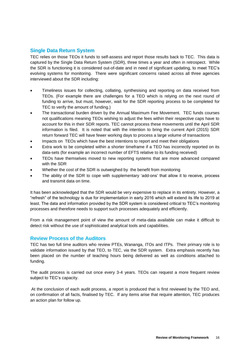## **Single Data Return System**

TEC relies on those TEOs it funds to self-assess and report those results back to TEC. This data is captured by the Single Data Return System (SDR), three times a year and often in retrospect. While the SDR is functioning it is considered out-of-date and in need of significant updating, to meet TEC's evolving systems for monitoring. There were significant concerns raised across all three agencies interviewed about the SDR including:

- Timeliness issues for collecting, collating, synthesising and reporting on data received from TEOs. (For example there are challenges for a TEO which is relying on the next round of funding to arrive, but must, however, wait for the SDR reporting process to be completed for TEC to verify the amount of funding.)
- The transactional burden driven by the Annual Maximum Fee Movement. TEC funds courses not qualifications meaning TEOs wishing to adjust the fees within their respective caps have to account for this in their SDR reports. TEC cannot process these movements until the April SDR information is filed. It is noted that with the intention to bring the current April (2015) SDR return forward TEC will have fewer working days to process a large volume of transactions
- Impacts on TEOs which have the best intentions to report and meet their obligations
- Extra work to be completed within a shorter timeframe if a TEO has incorrectly reported on its data-sets (for example an incorrect number of EFTS relative to its funding received)
- TEOs have themselves moved to new reporting systems that are more advanced compared with the SDR
- Whether the cost of the SDR is outweighed by the benefit from monitoring
- The ability of the SDR to cope with supplementary 'add-ons' that allow it to receive, process and transmit data on time.

It has been acknowledged that the SDR would be very expensive to replace in its entirety. However, a "refresh" of the technology is due for implementation in early 2016 which will extend its life to 2019 at least. The data and information provided by the SDR system is considered critical to TEC's monitoring processes and therefore needs to support such processes adequately and efficiently.

From a risk management point of view the amount of meta-data available can make it difficult to detect risk without the use of sophisticated analytical tools and capabilities.

### **Review Process of the Auditors**

TEC has two full time auditors who review PTEs, Wananga, ITOs and ITPs. Their primary role is to validate information issued by that TEO, to TEC, via the SDR system. Extra emphasis recently has been placed on the number of teaching hours being delivered as well as conditions attached to funding.

The audit process is carried out once every 3-4 years. TEOs can request a more frequent review subject to TEC's capacity.

At the conclusion of each audit process, a report is produced that is first reviewed by the TEO and, on confirmation of all facts, finalised by TEC. If any items arise that require attention, TEC produces an action plan for follow up.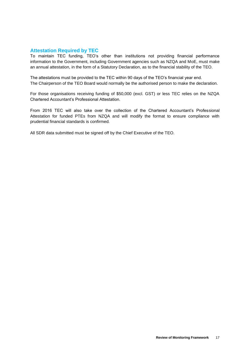### **Attestation Required by TEC**

To maintain TEC funding, TEO's other than institutions not providing financial performance information to the Government, including Government agencies such as NZQA and MoE, must make an annual attestation, in the form of a Statutory Declaration, as to the financial stability of the TEO.

The attestations must be provided to the TEC within 90 days of the TEO's financial year end. The Chairperson of the TEO Board would normally be the authorised person to make the declaration.

For those organisations receiving funding of \$50,000 (excl. GST) or less TEC relies on the NZQA Chartered Accountant's Professional Attestation.

From 2016 TEC will also take over the collection of the Chartered Accountant's Professional Attestation for funded PTEs from NZQA and will modify the format to ensure compliance with prudential financial standards is confirmed.

All SDR data submitted must be signed off by the Chief Executive of the TEO.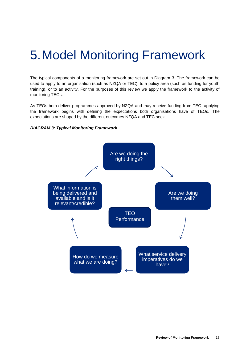# <span id="page-19-0"></span>5.Model Monitoring Framework

The typical components of a monitoring framework are set out in Diagram 3. The framework can be used to apply to an organisation (such as NZQA or TEC), to a policy area (such as funding for youth training), or to an activity. For the purposes of this review we apply the framework to the activity of monitoring TEOs.

As TEOs both deliver programmes approved by NZQA and may receive funding from TEC, applying the framework begins with defining the expectations both organisations have of TEOs. The expectations are shaped by the different outcomes NZQA and TEC seek.



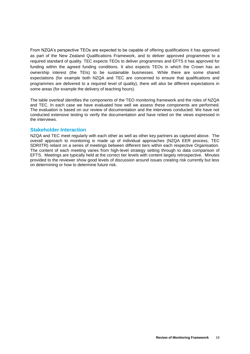From NZQA's perspective TEOs are expected to be capable of offering qualifications it has approved as part of the New Zealand Qualifications Framework, and to deliver approved programmes to a required standard of quality. TEC expects TEOs to deliver programmes and EFTS it has approved for funding within the agreed funding conditions. It also expects TEOs in which the Crown has an ownership interest (the TEIs) to be sustainable businesses. While there are some shared expectations (for example both NZQA and TEC are concerned to ensure that qualifications and programmes are delivered to a required level of quality), there will also be different expectations in some areas (for example the delivery of teaching hours).

The table overleaf identifies the components of the TEO monitoring framework and the roles of NZQA and TEC. In each case we have evaluated how well we assess these components are performed. The evaluation is based on our review of documentation and the interviews conducted. We have not conducted extensive testing to verify the documentation and have relied on the views expressed in the interviews.

### **Stakeholder Interaction**

NZQA and TEC meet regularly with each other as well as other key partners as captured above. The overall approach to monitoring is made up of individual approaches (NZQA EER process, TEC SDR/ITR) reliant on a series of meetings between different tiers within each respective Organisation. The content of each meeting varies from high-level strategy setting through to data comparison of EFTS. Meetings are typically held at the correct tier levels with content largely retrospective. Minutes provided to the reviewer show good levels of discussion around issues creating risk currently but less on determining or how to determine future risk.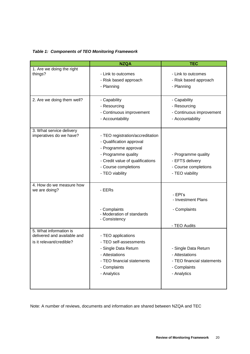| <b>Table 1: Components of TEO Monitoring Framework</b> |
|--------------------------------------------------------|
|                                                        |

|                                                                                   | <b>NZQA</b>                                                                                                                                                                                | <b>TEC</b>                                                                                          |
|-----------------------------------------------------------------------------------|--------------------------------------------------------------------------------------------------------------------------------------------------------------------------------------------|-----------------------------------------------------------------------------------------------------|
| 1. Are we doing the right<br>things?                                              | - Link to outcomes<br>- Risk based approach<br>- Planning                                                                                                                                  | - Link to outcomes<br>- Risk based approach<br>- Planning                                           |
| 2. Are we doing them well?                                                        | - Capability<br>- Resourcing<br>- Continuous improvement<br>- Accountability                                                                                                               | - Capability<br>- Resourcing<br>- Continuous improvement<br>- Accountability                        |
| 3. What service delivery<br>imperatives do we have?                               | - TEO registration/accreditation<br>- Qualification approval<br>- Programme approval<br>- Programme quality<br>- Credit value of qualifications<br>- Course completions<br>- TEO viability | - Programme quality<br>- EFTS delivery<br>- Course completions<br>- TEO viability                   |
| 4. How do we measure how<br>we are doing?                                         | - EERs<br>- Complaints<br>- Moderation of standards                                                                                                                                        | - EPI's<br>- Investment Plans<br>- Complaints                                                       |
|                                                                                   | - Consistency                                                                                                                                                                              | - TEO Audits                                                                                        |
| 5. What information is<br>delivered and available and<br>is it relevant/credible? | - TEO applications<br>- TEO self-assessments<br>- Single Data Return<br>- Attestations<br>- TEO financial statements<br>- Complaints<br>- Analytics                                        | - Single Data Return<br>- Attestations<br>- TEO financial statements<br>- Complaints<br>- Analytics |

Note: A number of reviews, documents and information are shared between NZQA and TEC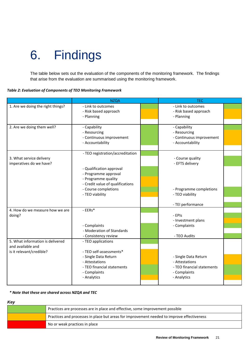# <span id="page-22-0"></span>6. Findings

The table below sets out the evaluation of the components of the monitoring framework. The findings that arise from the evaluation are summarised using the monitoring framework.

|  |  | Table 2: Evaluation of Components of TEO Monitoring Framework |
|--|--|---------------------------------------------------------------|
|--|--|---------------------------------------------------------------|

|                                                     | <b>NZQA</b>                      | <b>TEC</b>                          |  |
|-----------------------------------------------------|----------------------------------|-------------------------------------|--|
| 1. Are we doing the right things?                   | - Link to outcomes               | - Link to outcomes                  |  |
|                                                     | - Risk based approach            | - Risk based approach               |  |
|                                                     | - Planning                       | - Planning                          |  |
| 2. Are we doing them well?                          | - Capability                     | - Capability                        |  |
|                                                     | - Resourcing                     | - Resourcing                        |  |
|                                                     | - Continuous improvement         | - Continuous improvement            |  |
|                                                     | - Accountability                 | - Accountability                    |  |
|                                                     |                                  |                                     |  |
|                                                     | - TEO registration/accreditation |                                     |  |
| 3. What service delivery<br>imperatives do we have? |                                  | - Course quality<br>- EFTS delivery |  |
|                                                     | - Qualification approval         |                                     |  |
|                                                     | - Programme approval             |                                     |  |
|                                                     | - Programme quality              |                                     |  |
|                                                     | - Credit value of qualifications |                                     |  |
|                                                     | - Course completions             | - Programme completions             |  |
|                                                     | - TEO viability                  | - TEO viability                     |  |
|                                                     |                                  | - TEI performance                   |  |
| 4. How do we measure how we are                     | - EERs*                          |                                     |  |
| doing?                                              |                                  | - EPIs                              |  |
|                                                     |                                  | - Investment plans                  |  |
|                                                     | - Complaints                     | - Complaints                        |  |
|                                                     | - Moderation of Standards        |                                     |  |
| 5. What information is delivered                    | - Consistency review             | - TEO Audits                        |  |
| and available and                                   | - TEO applications               |                                     |  |
| is it relevant/credible?                            | - TEO self-assessments*          |                                     |  |
|                                                     | - Single Data Return             | - Single Data Return                |  |
|                                                     | - Attestations                   | - Attestations                      |  |
|                                                     | - TEO financial statements       | - TEO financial statements          |  |
|                                                     | - Complaints                     | - Complaints                        |  |
|                                                     | - Analytics                      | - Analytics                         |  |
|                                                     |                                  |                                     |  |

*\* Note that these are shared across NZQA and TEC*

| Key |                                                                                            |
|-----|--------------------------------------------------------------------------------------------|
|     | Practices are processes are in place and effective, some improvement possible              |
|     | Practices and processes in place but areas for improvement needed to improve effectiveness |
|     | No or weak practices in place                                                              |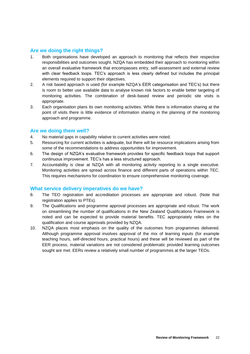## **Are we doing the right things?**

- 1. Both organisations have developed an approach to monitoring that reflects their respective responsibilities and outcomes sought. NZQA has embedded their approach to monitoring within an overall evaluative framework that encompasses entry, self-assessment and external review with clear feedback loops. TEC's approach is less clearly defined but includes the principal elements required to support their objectives.
- 2. A risk based approach is used (for example NZQA's EER categorisation and TEC's) but there is room to better use available data to analyse known risk factors to enable better targeting of monitoring activities. The combination of desk-based review and periodic site visits is appropriate.
- 3. Each organisation plans its own monitoring activities. While there is information sharing at the point of visits there is little evidence of information sharing in the planning of the monitoring approach and programme.

### **Are we doing them well?**

- 4. No material gaps in capability relative to current activities were noted.
- 5. Resourcing for current activities is adequate, but there will be resource implications arising from some of the recommendations to address opportunities for improvement.
- 6. The design of NZQA's evaluative framework provides for specific feedback loops that support continuous improvement. TEC's has a less structured approach.
- 7. Accountability is clear at NZQA with all monitoring activity reporting to a single executive. Monitoring activities are spread across finance and different parts of operations within TEC. This requires mechanisms for coordination to ensure comprehensive monitoring coverage.

### **What service delivery imperatives do we have?**

- 8. The TEO registration and accreditation processes are appropriate and robust. (Note that registration applies to PTEs).
- 9. The Qualifications and programme approval processes are appropriate and robust. The work on streamlining the number of qualifications in the New Zealand Qualifications Framework is noted and can be expected to provide material benefits. TEC appropriately relies on the qualification and course approvals provided by NZQA.
- 10. NZQA places most emphasis on the quality of the outcomes from programmes delivered. Although programme approval involves approval of the mix of learning inputs (for example teaching hours, self-directed hours, practical hours) and these will be reviewed as part of the EER process, material variations are not considered problematic provided learning outcomes sought are met. EERs review a relatively small number of programmes at the larger TEOs.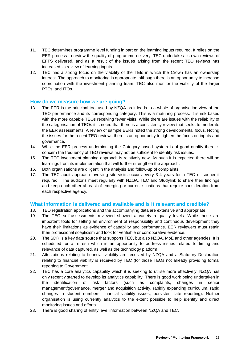- 11. TEC determines programme level funding in part on the learning inputs required. It relies on the EER process to review the quality of programme delivery. TEC undertakes its own reviews of EFTS delivered, and as a result of the issues arising from the recent TEO reviews has increased its review of learning inputs.
- 12. TEC has a strong focus on the viability of the TEIs in which the Crown has an ownership interest. The approach to monitoring is appropriate, although there is an opportunity to increase coordination with the investment planning team. TEC also monitor the viability of the larger PTEs, and ITOs.

#### **How do we measure how we are going?**

- 13. The EER is the principal tool used by NZQA as it leads to a whole of organisation view of the TEO performance and its corresponding category. This is a maturing process. It is risk based with the more capable TEOs receiving fewer visits. While there are issues with the reliability of the categorisation of TEOs it is noted that there is a consistency review that seeks to moderate the EER assessments. A review of sample EERs noted the strong developmental focus. Noting the issues for the recent TEO reviews there is an opportunity to tighten the focus on inputs and governance.
- 14. While the EER process underpinning the Category based system is of good quality there is concern the frequency of TEO reviews may not be sufficient to identify risk issues.
- 15. The TEC investment planning approach is relatively new. As such it is expected there will be learnings from its implementation that will further strengthen the approach.
- 16. Both organisations are diligent in the analysis and follow-up of complaints.
- 17. The TEC audit approach involving site visits occurs every 3-4 years for a TEO or sooner if required. The auditor's meet regularly with NZQA, TEC and Studylink to share their findings and keep each other abreast of emerging or current situations that require consideration from each respective agency.

### **What information is delivered and available and is it relevant and credible?**

- 18. TEO registration applications and the accompanying data are extensive and appropriate.
- 19. The TEO self-assessments reviewed showed a variety a quality levels. While these are important tools for setting an environment of responsibility and continuous development they have their limitations as evidence of capability and performance. EER reviewers must retain their professional scepticism and look for verifiable or corroborative evidence.
- 20. The SDR is a key data source that supports TEC, but also NZQA, MoE and other agencies. It is scheduled for a refresh which is an opportunity to address issues related to timing and relevance of data captured, as well as the technology platform.
- 21. Attestations relating to financial viability are received by NZQA and a Statutory Declaration relating to financial viability is received by TEC (for those TEOs not already providing formal reporting to Government.
- 22. TEC has a core analytics capability which it is seeking to utilise more effectively. NZQA has only recently started to develop its analytics capability. There is good work being undertaken in the identification of risk factors (such as complaints, changes in senior management/governance, merger and acquisition activity, rapidly expanding curriculum, rapid changes in student numbers, financial viability issues, persistent late reporting). Neither organisation is using currently analytics to the extent possible to help identify and direct monitoring issues and efforts.
- 23. There is good sharing of entity level information between NZQA and TEC.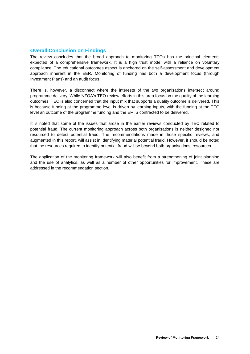## **Overall Conclusion on Findings**

The review concludes that the broad approach to monitoring TEOs has the principal elements expected of a comprehensive framework. It is a high trust model with a reliance on voluntary compliance. The educational outcomes aspect is anchored on the self-assessment and development approach inherent in the EER. Monitoring of funding has both a development focus (through Investment Plans) and an audit focus.

There is, however, a disconnect where the interests of the two organisations intersect around programme delivery. While NZQA's TEO review efforts in this area focus on the quality of the learning outcomes, TEC is also concerned that the input mix that supports a quality outcome is delivered. This is because funding at the programme level is driven by learning inputs, with the funding at the TEO level an outcome of the programme funding and the EFTS contracted to be delivered.

It is noted that some of the issues that arose in the earlier reviews conducted by TEC related to potential fraud. The current monitoring approach across both organisations is neither designed nor resourced to detect potential fraud. The recommendations made in those specific reviews, and augmented in this report, will assist in identifying material potential fraud. However, it should be noted that the resources required to identify potential fraud will be beyond both organisations' resources.

The application of the monitoring framework will also benefit from a strengthening of joint planning and the use of analytics, as well as a number of other opportunities for improvement. These are addressed in the recommendation section.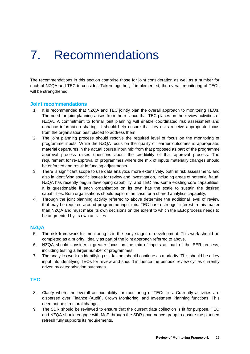# <span id="page-26-0"></span>7. Recommendations

The recommendations in this section comprise those for joint consideration as well as a number for each of NZQA and TEC to consider. Taken together, if implemented, the overall monitoring of TEOs will be strengthened.

#### **Joint recommendations**

- 1. It is recommended that NZQA and TEC jointly plan the overall approach to monitoring TEOs. The need for joint planning arises from the reliance that TEC places on the review activities of NZQA. A commitment to formal joint planning will enable coordinated risk assessment and enhance information sharing. It should help ensure that key risks receive appropriate focus from the organisation best placed to address them.
- 2. The joint planning process should resolve the required level of focus on the monitoring of programme inputs. While the NZQA focus on the quality of learner outcomes is appropriate, material departures in the actual course input mix from that proposed as part of the programme approval process raises questions about the credibility of that approval process. The requirement for re-approval of programmes where the mix of inputs materially changes should be enforced and result in funding adjustments.
- 3. There is significant scope to use data analytics more extensively, both in risk assessment, and also in identifying specific issues for review and investigation, including areas of potential fraud. NZQA has recently begun developing capability, and TEC has some existing core capabilities. It is questionable if each organisation on its own has the scale to sustain the desired capabilities. Both organisations should explore the case for a shared analytics capability.
- 4. Through the joint planning activity referred to above determine the additional level of review that may be required around programme input mix. TEC has a stronger interest in this matter than NZQA and must make its own decisions on the extent to which the EER process needs to be augmented by its own activities.

### **NZQA**

- 5. The risk framework for monitoring is in the early stages of development. This work should be completed as a priority, ideally as part of the joint approach referred to above.
- 6. NZQA should consider a greater focus on the mix of inputs as part of the EER process, including testing a larger number of programmes.
- 7. The analytics work on identifying risk factors should continue as a priority. This should be a key input into identifying TEOs for review and should influence the periodic review cycles currently driven by categorisation outcomes.

### **TEC**

- 8. Clarify where the overall accountability for monitoring of TEOs lies. Currently activities are dispersed over Finance (Audit), Crown Monitoring, and Investment Planning functions. This need not be structural change.
- 9. The SDR should be reviewed to ensure that the current data collection is fit for purpose. TEC and NZQA should engage with MoE through the SDR governance group to ensure the planned refresh fully supports its requirements.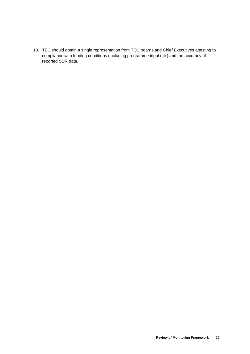10. TEC should obtain a single representation from TEO boards and Chief Executives attesting to compliance with funding conditions (including programme input mix) and the accuracy of reported SDR data.